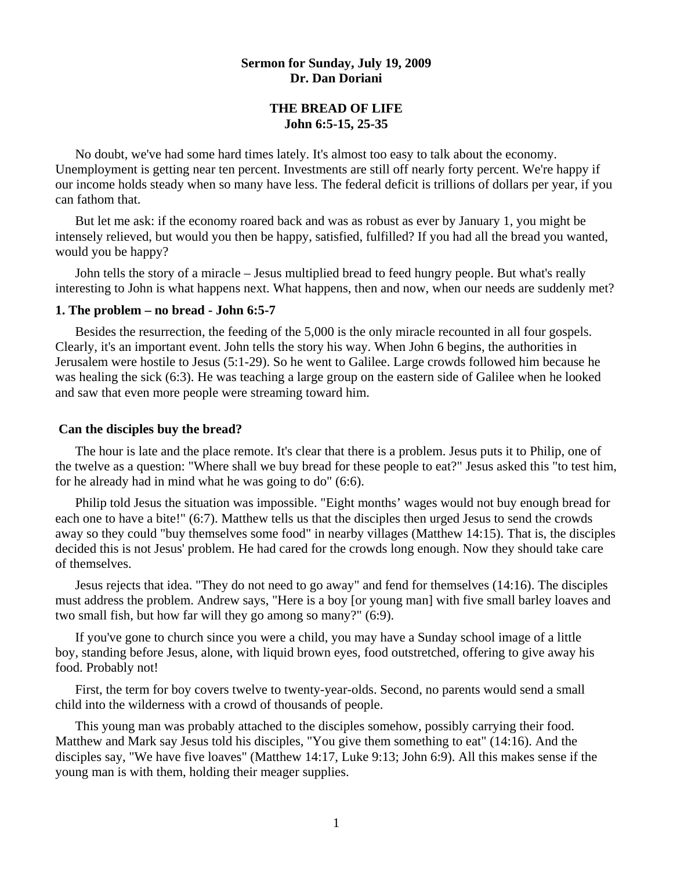## **Sermon for Sunday, July 19, 2009 Dr. Dan Doriani**

# **THE BREAD OF LIFE John 6:5-15, 25-35**

 No doubt, we've had some hard times lately. It's almost too easy to talk about the economy. Unemployment is getting near ten percent. Investments are still off nearly forty percent. We're happy if our income holds steady when so many have less. The federal deficit is trillions of dollars per year, if you can fathom that.

 But let me ask: if the economy roared back and was as robust as ever by January 1, you might be intensely relieved, but would you then be happy, satisfied, fulfilled? If you had all the bread you wanted, would you be happy?

 John tells the story of a miracle – Jesus multiplied bread to feed hungry people. But what's really interesting to John is what happens next. What happens, then and now, when our needs are suddenly met?

#### **1. The problem – no bread - John 6:5-7**

 Besides the resurrection, the feeding of the 5,000 is the only miracle recounted in all four gospels. Clearly, it's an important event. John tells the story his way. When John 6 begins, the authorities in Jerusalem were hostile to Jesus (5:1-29). So he went to Galilee. Large crowds followed him because he was healing the sick (6:3). He was teaching a large group on the eastern side of Galilee when he looked and saw that even more people were streaming toward him.

#### **Can the disciples buy the bread?**

 The hour is late and the place remote. It's clear that there is a problem. Jesus puts it to Philip, one of the twelve as a question: "Where shall we buy bread for these people to eat?" Jesus asked this "to test him, for he already had in mind what he was going to do" (6:6).

 Philip told Jesus the situation was impossible. "Eight months' wages would not buy enough bread for each one to have a bite!" (6:7). Matthew tells us that the disciples then urged Jesus to send the crowds away so they could "buy themselves some food" in nearby villages (Matthew 14:15). That is, the disciples decided this is not Jesus' problem. He had cared for the crowds long enough. Now they should take care of themselves.

 Jesus rejects that idea. "They do not need to go away" and fend for themselves (14:16). The disciples must address the problem. Andrew says, "Here is a boy [or young man] with five small barley loaves and two small fish, but how far will they go among so many?" (6:9).

 If you've gone to church since you were a child, you may have a Sunday school image of a little boy, standing before Jesus, alone, with liquid brown eyes, food outstretched, offering to give away his food. Probably not!

 First, the term for boy covers twelve to twenty-year-olds. Second, no parents would send a small child into the wilderness with a crowd of thousands of people.

 This young man was probably attached to the disciples somehow, possibly carrying their food. Matthew and Mark say Jesus told his disciples, "You give them something to eat" (14:16). And the disciples say, "We have five loaves" (Matthew 14:17, Luke 9:13; John 6:9). All this makes sense if the young man is with them, holding their meager supplies.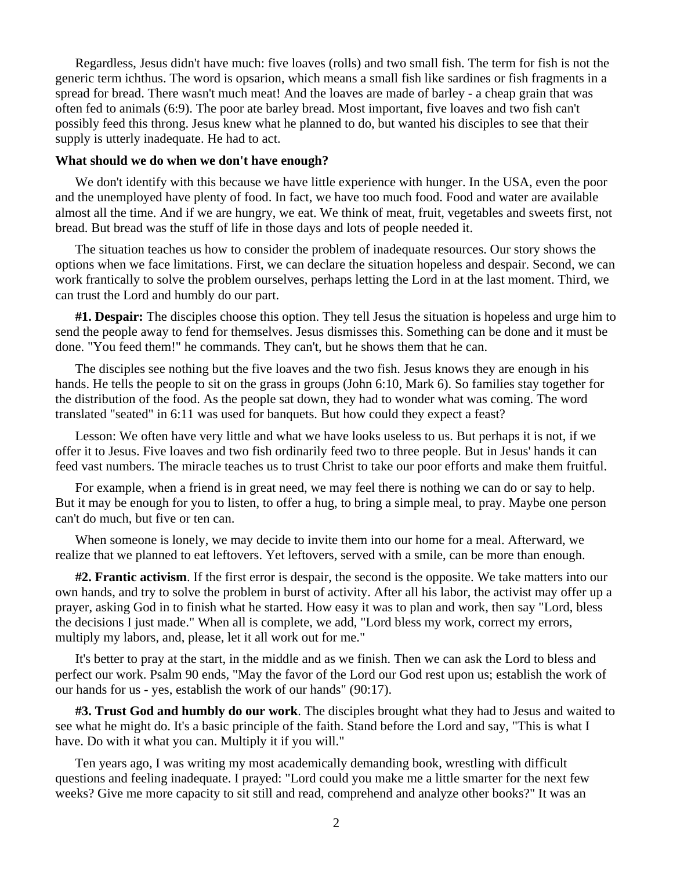Regardless, Jesus didn't have much: five loaves (rolls) and two small fish. The term for fish is not the generic term ichthus. The word is opsarion, which means a small fish like sardines or fish fragments in a spread for bread. There wasn't much meat! And the loaves are made of barley - a cheap grain that was often fed to animals (6:9). The poor ate barley bread. Most important, five loaves and two fish can't possibly feed this throng. Jesus knew what he planned to do, but wanted his disciples to see that their supply is utterly inadequate. He had to act.

#### **What should we do when we don't have enough?**

We don't identify with this because we have little experience with hunger. In the USA, even the poor and the unemployed have plenty of food. In fact, we have too much food. Food and water are available almost all the time. And if we are hungry, we eat. We think of meat, fruit, vegetables and sweets first, not bread. But bread was the stuff of life in those days and lots of people needed it.

 The situation teaches us how to consider the problem of inadequate resources. Our story shows the options when we face limitations. First, we can declare the situation hopeless and despair. Second, we can work frantically to solve the problem ourselves, perhaps letting the Lord in at the last moment. Third, we can trust the Lord and humbly do our part.

**#1. Despair:** The disciples choose this option. They tell Jesus the situation is hopeless and urge him to send the people away to fend for themselves. Jesus dismisses this. Something can be done and it must be done. "You feed them!" he commands. They can't, but he shows them that he can.

 The disciples see nothing but the five loaves and the two fish. Jesus knows they are enough in his hands. He tells the people to sit on the grass in groups (John 6:10, Mark 6). So families stay together for the distribution of the food. As the people sat down, they had to wonder what was coming. The word translated "seated" in 6:11 was used for banquets. But how could they expect a feast?

 Lesson: We often have very little and what we have looks useless to us. But perhaps it is not, if we offer it to Jesus. Five loaves and two fish ordinarily feed two to three people. But in Jesus' hands it can feed vast numbers. The miracle teaches us to trust Christ to take our poor efforts and make them fruitful.

 For example, when a friend is in great need, we may feel there is nothing we can do or say to help. But it may be enough for you to listen, to offer a hug, to bring a simple meal, to pray. Maybe one person can't do much, but five or ten can.

 When someone is lonely, we may decide to invite them into our home for a meal. Afterward, we realize that we planned to eat leftovers. Yet leftovers, served with a smile, can be more than enough.

**#2. Frantic activism**. If the first error is despair, the second is the opposite. We take matters into our own hands, and try to solve the problem in burst of activity. After all his labor, the activist may offer up a prayer, asking God in to finish what he started. How easy it was to plan and work, then say "Lord, bless the decisions I just made." When all is complete, we add, "Lord bless my work, correct my errors, multiply my labors, and, please, let it all work out for me."

 It's better to pray at the start, in the middle and as we finish. Then we can ask the Lord to bless and perfect our work. Psalm 90 ends, "May the favor of the Lord our God rest upon us; establish the work of our hands for us - yes, establish the work of our hands" (90:17).

**#3. Trust God and humbly do our work**. The disciples brought what they had to Jesus and waited to see what he might do. It's a basic principle of the faith. Stand before the Lord and say, "This is what I have. Do with it what you can. Multiply it if you will."

 Ten years ago, I was writing my most academically demanding book, wrestling with difficult questions and feeling inadequate. I prayed: "Lord could you make me a little smarter for the next few weeks? Give me more capacity to sit still and read, comprehend and analyze other books?" It was an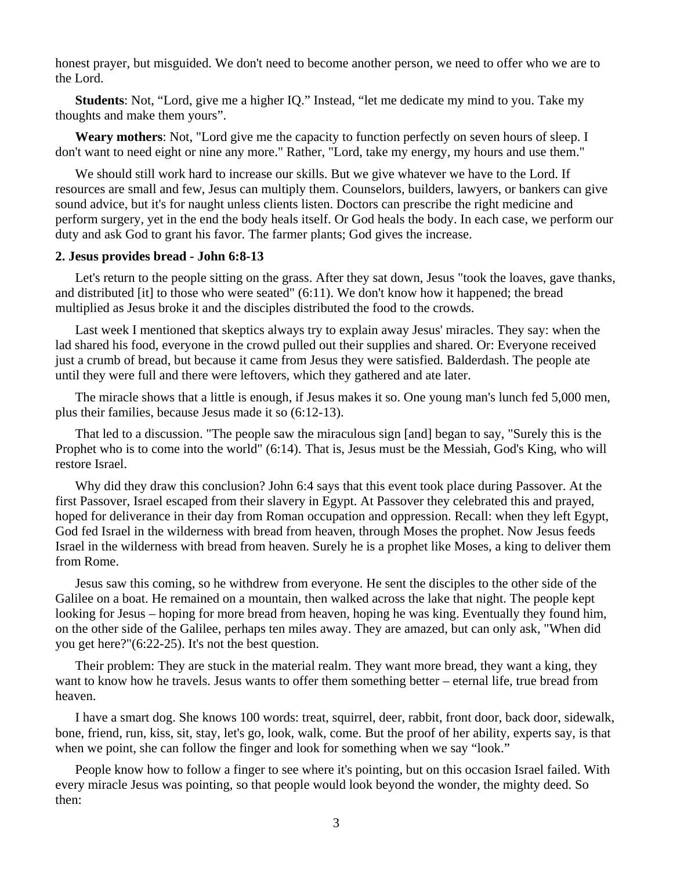honest prayer, but misguided. We don't need to become another person, we need to offer who we are to the Lord.

**Students**: Not, "Lord, give me a higher IQ." Instead, "let me dedicate my mind to you. Take my thoughts and make them yours".

**Weary mothers**: Not, "Lord give me the capacity to function perfectly on seven hours of sleep. I don't want to need eight or nine any more." Rather, "Lord, take my energy, my hours and use them."

 We should still work hard to increase our skills. But we give whatever we have to the Lord. If resources are small and few, Jesus can multiply them. Counselors, builders, lawyers, or bankers can give sound advice, but it's for naught unless clients listen. Doctors can prescribe the right medicine and perform surgery, yet in the end the body heals itself. Or God heals the body. In each case, we perform our duty and ask God to grant his favor. The farmer plants; God gives the increase.

#### **2. Jesus provides bread - John 6:8-13**

 Let's return to the people sitting on the grass. After they sat down, Jesus "took the loaves, gave thanks, and distributed [it] to those who were seated" (6:11). We don't know how it happened; the bread multiplied as Jesus broke it and the disciples distributed the food to the crowds.

 Last week I mentioned that skeptics always try to explain away Jesus' miracles. They say: when the lad shared his food, everyone in the crowd pulled out their supplies and shared. Or: Everyone received just a crumb of bread, but because it came from Jesus they were satisfied. Balderdash. The people ate until they were full and there were leftovers, which they gathered and ate later.

 The miracle shows that a little is enough, if Jesus makes it so. One young man's lunch fed 5,000 men, plus their families, because Jesus made it so (6:12-13).

 That led to a discussion. "The people saw the miraculous sign [and] began to say, "Surely this is the Prophet who is to come into the world" (6:14). That is, Jesus must be the Messiah, God's King, who will restore Israel.

 Why did they draw this conclusion? John 6:4 says that this event took place during Passover. At the first Passover, Israel escaped from their slavery in Egypt. At Passover they celebrated this and prayed, hoped for deliverance in their day from Roman occupation and oppression. Recall: when they left Egypt, God fed Israel in the wilderness with bread from heaven, through Moses the prophet. Now Jesus feeds Israel in the wilderness with bread from heaven. Surely he is a prophet like Moses, a king to deliver them from Rome.

 Jesus saw this coming, so he withdrew from everyone. He sent the disciples to the other side of the Galilee on a boat. He remained on a mountain, then walked across the lake that night. The people kept looking for Jesus – hoping for more bread from heaven, hoping he was king. Eventually they found him, on the other side of the Galilee, perhaps ten miles away. They are amazed, but can only ask, "When did you get here?"(6:22-25). It's not the best question.

 Their problem: They are stuck in the material realm. They want more bread, they want a king, they want to know how he travels. Jesus wants to offer them something better – eternal life, true bread from heaven.

 I have a smart dog. She knows 100 words: treat, squirrel, deer, rabbit, front door, back door, sidewalk, bone, friend, run, kiss, sit, stay, let's go, look, walk, come. But the proof of her ability, experts say, is that when we point, she can follow the finger and look for something when we say "look."

People know how to follow a finger to see where it's pointing, but on this occasion Israel failed. With every miracle Jesus was pointing, so that people would look beyond the wonder, the mighty deed. So then: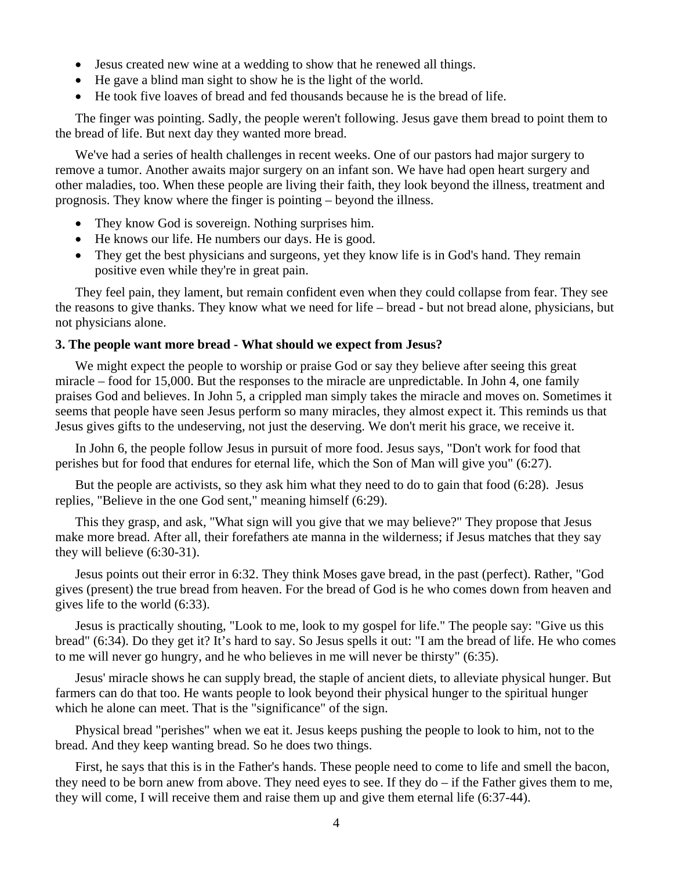- Jesus created new wine at a wedding to show that he renewed all things.
- He gave a blind man sight to show he is the light of the world.
- He took five loaves of bread and fed thousands because he is the bread of life.

 The finger was pointing. Sadly, the people weren't following. Jesus gave them bread to point them to the bread of life. But next day they wanted more bread.

 We've had a series of health challenges in recent weeks. One of our pastors had major surgery to remove a tumor. Another awaits major surgery on an infant son. We have had open heart surgery and other maladies, too. When these people are living their faith, they look beyond the illness, treatment and prognosis. They know where the finger is pointing – beyond the illness.

- They know God is sovereign. Nothing surprises him.
- He knows our life. He numbers our days. He is good.
- They get the best physicians and surgeons, yet they know life is in God's hand. They remain positive even while they're in great pain.

 They feel pain, they lament, but remain confident even when they could collapse from fear. They see the reasons to give thanks. They know what we need for life – bread - but not bread alone, physicians, but not physicians alone.

### **3. The people want more bread - What should we expect from Jesus?**

We might expect the people to worship or praise God or say they believe after seeing this great miracle – food for 15,000. But the responses to the miracle are unpredictable. In John 4, one family praises God and believes. In John 5, a crippled man simply takes the miracle and moves on. Sometimes it seems that people have seen Jesus perform so many miracles, they almost expect it. This reminds us that Jesus gives gifts to the undeserving, not just the deserving. We don't merit his grace, we receive it.

 In John 6, the people follow Jesus in pursuit of more food. Jesus says, "Don't work for food that perishes but for food that endures for eternal life, which the Son of Man will give you" (6:27).

 But the people are activists, so they ask him what they need to do to gain that food (6:28). Jesus replies, "Believe in the one God sent," meaning himself (6:29).

 This they grasp, and ask, "What sign will you give that we may believe?" They propose that Jesus make more bread. After all, their forefathers ate manna in the wilderness; if Jesus matches that they say they will believe (6:30-31).

 Jesus points out their error in 6:32. They think Moses gave bread, in the past (perfect). Rather, "God gives (present) the true bread from heaven. For the bread of God is he who comes down from heaven and gives life to the world (6:33).

 Jesus is practically shouting, "Look to me, look to my gospel for life." The people say: "Give us this bread" (6:34). Do they get it? It's hard to say. So Jesus spells it out: "I am the bread of life. He who comes to me will never go hungry, and he who believes in me will never be thirsty" (6:35).

 Jesus' miracle shows he can supply bread, the staple of ancient diets, to alleviate physical hunger. But farmers can do that too. He wants people to look beyond their physical hunger to the spiritual hunger which he alone can meet. That is the "significance" of the sign.

 Physical bread "perishes" when we eat it. Jesus keeps pushing the people to look to him, not to the bread. And they keep wanting bread. So he does two things.

 First, he says that this is in the Father's hands. These people need to come to life and smell the bacon, they need to be born anew from above. They need eyes to see. If they  $d\sigma - i f$  the Father gives them to me, they will come, I will receive them and raise them up and give them eternal life (6:37-44).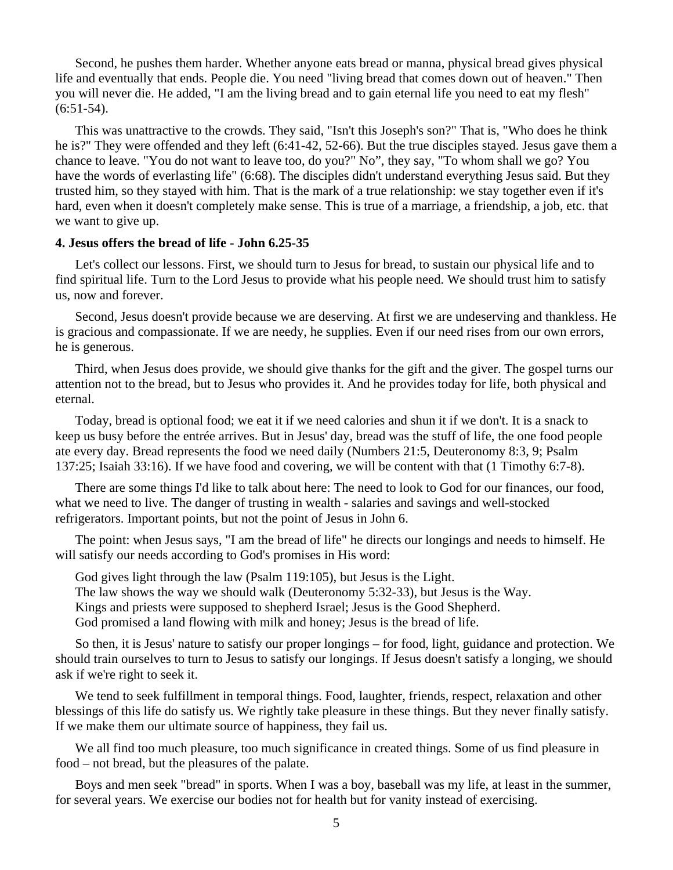Second, he pushes them harder. Whether anyone eats bread or manna, physical bread gives physical life and eventually that ends. People die. You need "living bread that comes down out of heaven." Then you will never die. He added, "I am the living bread and to gain eternal life you need to eat my flesh"  $(6:51-54)$ .

 This was unattractive to the crowds. They said, "Isn't this Joseph's son?" That is, "Who does he think he is?" They were offended and they left (6:41-42, 52-66). But the true disciples stayed. Jesus gave them a chance to leave. "You do not want to leave too, do you?" No", they say, "To whom shall we go? You have the words of everlasting life" (6:68). The disciples didn't understand everything Jesus said. But they trusted him, so they stayed with him. That is the mark of a true relationship: we stay together even if it's hard, even when it doesn't completely make sense. This is true of a marriage, a friendship, a job, etc. that we want to give up.

#### **4. Jesus offers the bread of life - John 6.25-35**

 Let's collect our lessons. First, we should turn to Jesus for bread, to sustain our physical life and to find spiritual life. Turn to the Lord Jesus to provide what his people need. We should trust him to satisfy us, now and forever.

 Second, Jesus doesn't provide because we are deserving. At first we are undeserving and thankless. He is gracious and compassionate. If we are needy, he supplies. Even if our need rises from our own errors, he is generous.

 Third, when Jesus does provide, we should give thanks for the gift and the giver. The gospel turns our attention not to the bread, but to Jesus who provides it. And he provides today for life, both physical and eternal.

 Today, bread is optional food; we eat it if we need calories and shun it if we don't. It is a snack to keep us busy before the entrée arrives. But in Jesus' day, bread was the stuff of life, the one food people ate every day. Bread represents the food we need daily (Numbers 21:5, Deuteronomy 8:3, 9; Psalm 137:25; Isaiah 33:16). If we have food and covering, we will be content with that (1 Timothy 6:7-8).

 There are some things I'd like to talk about here: The need to look to God for our finances, our food, what we need to live. The danger of trusting in wealth - salaries and savings and well-stocked refrigerators. Important points, but not the point of Jesus in John 6.

 The point: when Jesus says, "I am the bread of life" he directs our longings and needs to himself. He will satisfy our needs according to God's promises in His word:

 God gives light through the law (Psalm 119:105), but Jesus is the Light. The law shows the way we should walk (Deuteronomy 5:32-33), but Jesus is the Way. Kings and priests were supposed to shepherd Israel; Jesus is the Good Shepherd. God promised a land flowing with milk and honey; Jesus is the bread of life.

 So then, it is Jesus' nature to satisfy our proper longings – for food, light, guidance and protection. We should train ourselves to turn to Jesus to satisfy our longings. If Jesus doesn't satisfy a longing, we should ask if we're right to seek it.

 We tend to seek fulfillment in temporal things. Food, laughter, friends, respect, relaxation and other blessings of this life do satisfy us. We rightly take pleasure in these things. But they never finally satisfy. If we make them our ultimate source of happiness, they fail us.

 We all find too much pleasure, too much significance in created things. Some of us find pleasure in food – not bread, but the pleasures of the palate.

 Boys and men seek "bread" in sports. When I was a boy, baseball was my life, at least in the summer, for several years. We exercise our bodies not for health but for vanity instead of exercising.